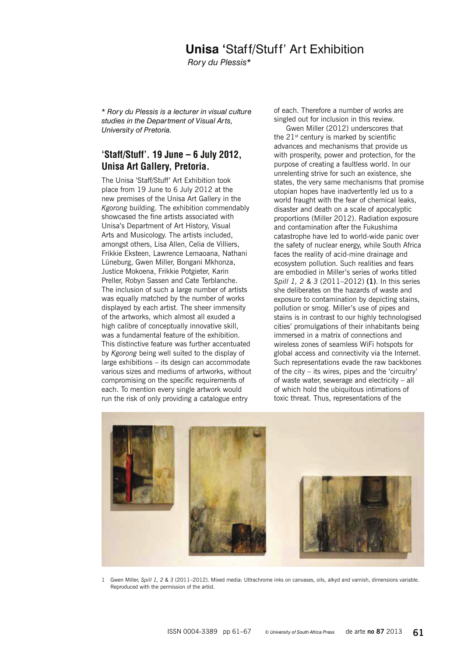## **Unisa '**Staff/Stuff' Art Exhibition

*Rory du Plessis*\*

\* *Rory du Plessis is a lecturer in visual culture studies in the Department of Visual Arts, University of Pretoria.*

## 'Staff/Stuff'.  $19$  June  $-6$  July 2012, Unisa Art Gallery, Pretoria.

The Unisa 'Staff/Stuff' Art Exhibition took place from 19 June to 6 July 2012 at the new premises of the Unisa Art Gallery in the *Kgorong* building. The exhibition commendably showcased the fine artists associated with Unisa's Department of Art History, Visual Arts and Musicology. The artists included, amongst others, Lisa Allen, Celia de Villiers, Frikkie Eksteen, Lawrence Lemaoana, Nathani Lüneburg, Gwen Miller, Bongani Mkhonza, Justice Mokoena, Frikkie Potgieter, Karin Preller, Robyn Sassen and Cate Terblanche. The inclusion of such a large number of artists was equally matched by the number of works displayed by each artist. The sheer immensity of the artworks, which almost all exuded a high calibre of conceptually innovative skill, was a fundamental feature of the exhibition. This distinctive feature was further accentuated by *Kgorong* being well suited to the display of large exhibitions – its design can accommodate various sizes and mediums of artworks, without compromising on the specific requirements of each. To mention every single artwork would run the risk of only providing a catalogue entry

of each. Therefore a number of works are singled out for inclusion in this review.

Gwen Miller (2012) underscores that the  $21^{st}$  century is marked by scientific advances and mechanisms that provide us with prosperity, power and protection, for the purpose of creating a faultless world. In our unrelenting strive for such an existence, she states, the very same mechanisms that promise utopian hopes have inadvertently led us to a world fraught with the fear of chemical leaks, disaster and death on a scale of apocalyptic proportions (Miller 2012). Radiation exposure and contamination after the Fukushima catastrophe have led to world-wide panic over the safety of nuclear energy, while South Africa faces the reality of acid-mine drainage and ecosystem pollution. Such realities and fears are embodied in Miller's series of works titled *Spill 1, 2 & 3* (2011–2012) **(1)**. In this series she deliberates on the hazards of waste and exposure to contamination by depicting stains, pollution or smog. Miller's use of pipes and stains is in contrast to our highly technologised cities' promulgations of their inhabitants being immersed in a matrix of connections and wireless zones of seamless WiFi hotspots for global access and connectivity via the Internet. Such representations evade the raw backbones of the city – its wires, pipes and the 'circuitry' of waste water, sewerage and electricity – all of which hold the ubiquitous intimations of toxic threat. Thus, representations of the



1 Gwen Miller, *Spill 1, 2 & 3* (2011–2012). Mixed media: Ultrachrome inks on canvases, oils, alkyd and varnish, dimensions variable. Reproduced with the permission of the artist.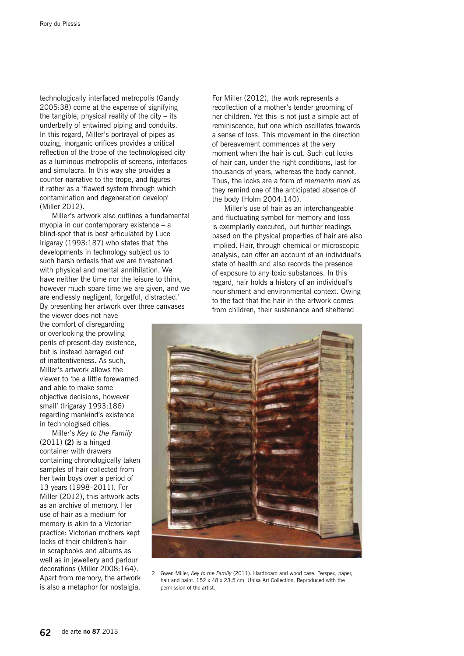technologically interfaced metropolis (Gandy 2005:38) come at the expense of signifying the tangible, physical reality of the city  $-$  its underbelly of entwined piping and conduits. In this regard, Miller's portrayal of pipes as oozing, inorganic orifices provides a critical reflection of the trope of the technologised city as a luminous metropolis of screens, interfaces and simulacra. In this way she provides a counter-narrative to the trope, and figures it rather as a 'flawed system through which contamination and degeneration develop' (Miller 2012).

Miller's artwork also outlines a fundamental myopia in our contemporary existence – a blind-spot that is best articulated by Luce Irigaray (1993:187) who states that 'the developments in technology subject us to such harsh ordeals that we are threatened with physical and mental annihilation. We have neither the time nor the leisure to think, however much spare time we are given, and we are endlessly negligent, forgetful, distracted.' By presenting her artwork over three canvases

the viewer does not have the comfort of disregarding or overlooking the prowling perils of present-day existence, but is instead barraged out of inattentiveness. As such, Miller's artwork allows the viewer to 'be a little forewarned and able to make some objective decisions, however small' (Irigaray 1993:186) regarding mankind's existence in technologised cities.

Miller's *Key to the Family* (2011) **(2)** is a hinged container with drawers containing chronologically taken samples of hair collected from her twin boys over a period of 13 years (1998–2011). For Miller (2012), this artwork acts as an archive of memory. Her use of hair as a medium for memory is akin to a Victorian practice: Victorian mothers kept locks of their children's hair in scrapbooks and albums as well as in jewellery and parlour decorations (Miller 2008:164). Apart from memory, the artwork is also a metaphor for nostalgia.

For Miller (2012), the work represents a recollection of a mother's tender grooming of her children. Yet this is not just a simple act of reminiscence, but one which oscillates towards a sense of loss. This movement in the direction of bereavement commences at the very moment when the hair is cut. Such cut locks of hair can, under the right conditions, last for thousands of years, whereas the body cannot. Thus, the locks are a form of *memento mori* as they remind one of the anticipated absence of the body (Holm 2004:140).

Miller's use of hair as an interchangeable and fluctuating symbol for memory and loss is exemplarily executed, but further readings based on the physical properties of hair are also implied. Hair, through chemical or microscopic analysis, can offer an account of an individual's state of health and also records the presence of exposure to any toxic substances. In this regard, hair holds a history of an individual's nourishment and environmental context. Owing to the fact that the hair in the artwork comes from children, their sustenance and sheltered



2 Gwen Miller, *Key to the Family* (2011). Hardboard and wood case. Perspex, paper, hair and paint. 152 x 48 x 23.5 cm. Unisa Art Collection. Reproduced with the permission of the artist.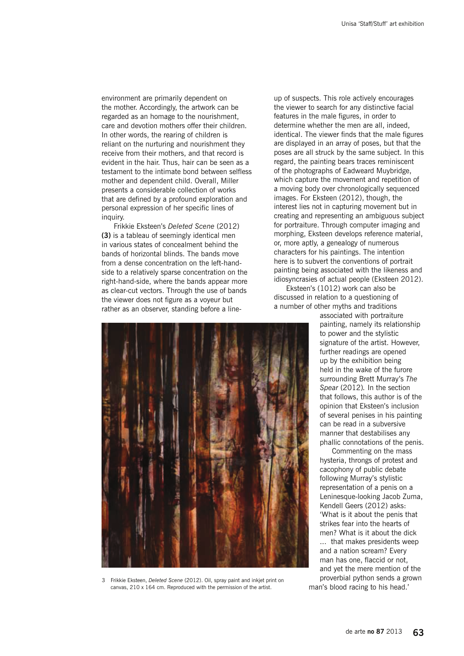environment are primarily dependent on the mother. Accordingly, the artwork can be regarded as an homage to the nourishment, care and devotion mothers offer their children. In other words, the rearing of children is reliant on the nurturing and nourishment they receive from their mothers, and that record is evident in the hair. Thus, hair can be seen as a testament to the intimate bond between selfless mother and dependent child. Overall, Miller presents a considerable collection of works that are defined by a profound exploration and personal expression of her specific lines of inquiry.

Frikkie Eksteen's *Deleted Scene* (2012) **(3)** is a tableau of seemingly identical men in various states of concealment behind the bands of horizontal blinds. The bands move from a dense concentration on the left-handside to a relatively sparse concentration on the right-hand-side, where the bands appear more as clear-cut vectors. Through the use of bands the viewer does not figure as a voyeur but rather as an observer, standing before a line-



Eksteen's (1012) work can also be discussed in relation to a questioning of a number of other myths and traditions

> associated with portraiture painting, namely its relationship to power and the stylistic signature of the artist. However, further readings are opened up by the exhibition being held in the wake of the furore surrounding Brett Murray's *The Spear* (2012)*.* In the section that follows, this author is of the opinion that Eksteen's inclusion of several penises in his painting can be read in a subversive manner that destabilises any phallic connotations of the penis.

> Commenting on the mass hysteria, throngs of protest and cacophony of public debate following Murray's stylistic representation of a penis on a Leninesque-looking Jacob Zuma, Kendell Geers (2012) asks: 'What is it about the penis that strikes fear into the hearts of men? What is it about the dick ... that makes presidents weep and a nation scream? Every man has one, flaccid or not. and yet the mere mention of the proverbial python sends a grown





3 Frikkie Eksteen, *Deleted Scene* (2012). Oil, spray paint and inkjet print on canvas, 210 x 164 cm. Reproduced with the permission of the artist.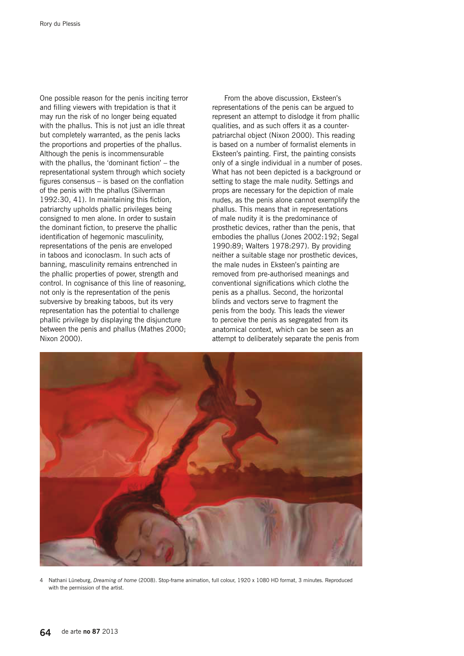One possible reason for the penis inciting terror and filling viewers with trepidation is that it may run the risk of no longer being equated with the phallus. This is not just an idle threat but completely warranted, as the penis lacks the proportions and properties of the phallus. Although the penis is incommensurable with the phallus, the 'dominant fiction' – the representational system through which society figures consensus – is based on the conflation of the penis with the phallus (Silverman 1992:30, 41). In maintaining this fiction, patriarchy upholds phallic privileges being consigned to men alone. In order to sustain the dominant fiction, to preserve the phallic identification of hegemonic masculinity, representations of the penis are enveloped in taboos and iconoclasm. In such acts of banning, masculinity remains entrenched in the phallic properties of power, strength and control. In cognisance of this line of reasoning, not only is the representation of the penis subversive by breaking taboos, but its very representation has the potential to challenge phallic privilege by displaying the disjuncture between the penis and phallus (Mathes 2000; Nixon 2000).

From the above discussion, Eksteen's representations of the penis can be argued to represent an attempt to dislodge it from phallic qualities, and as such offers it as a counterpatriarchal object (Nixon 2000). This reading is based on a number of formalist elements in Eksteen's painting. First, the painting consists only of a single individual in a number of poses. What has not been depicted is a background or setting to stage the male nudity. Settings and props are necessary for the depiction of male nudes, as the penis alone cannot exemplify the phallus. This means that in representations of male nudity it is the predominance of prosthetic devices, rather than the penis, that embodies the phallus (Jones 2002:192; Segal 1990:89; Walters 1978:297). By providing neither a suitable stage nor prosthetic devices, the male nudes in Eksteen's painting are removed from pre-authorised meanings and conventional significations which clothe the penis as a phallus. Second, the horizontal blinds and vectors serve to fragment the penis from the body. This leads the viewer to perceive the penis as segregated from its anatomical context, which can be seen as an attempt to deliberately separate the penis from



4 Nathani Lüneburg, *Dreaming of home* (2008). Stop-frame animation, full colour, 1920 x 1080 HD format, 3 minutes. Reproduced with the permission of the artist.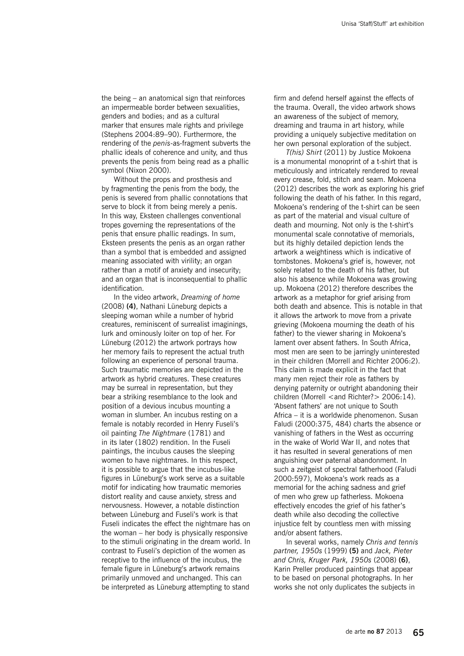the being – an anatomical sign that reinforces an impermeable border between sexualities, genders and bodies; and as a cultural marker that ensures male rights and privilege (Stephens 2004:89–90). Furthermore, the rendering of the *penis*-as-fragment subverts the phallic ideals of coherence and unity, and thus prevents the penis from being read as a phallic symbol (Nixon 2000).

Without the props and prosthesis and by fragmenting the penis from the body, the penis is severed from phallic connotations that serve to block it from being merely a penis. In this way, Eksteen challenges conventional tropes governing the representations of the penis that ensure phallic readings. In sum, Eksteen presents the penis as an organ rather than a symbol that is embedded and assigned meaning associated with virility; an organ rather than a motif of anxiety and insecurity; and an organ that is inconsequential to phallic identification.

In the video artwork, *Dreaming of home* (2008) **(4)**, Nathani Lüneburg depicts a sleeping woman while a number of hybrid creatures, reminiscent of surrealist imaginings, lurk and ominously loiter on top of her. For Lüneburg (2012) the artwork portrays how her memory fails to represent the actual truth following an experience of personal trauma. Such traumatic memories are depicted in the artwork as hybrid creatures. These creatures may be surreal in representation, but they bear a striking resemblance to the look and position of a devious incubus mounting a woman in slumber. An incubus resting on a female is notably recorded in Henry Fuseli's oil painting *The Nightmare* (1781) and in its later (1802) rendition. In the Fuseli paintings, the incubus causes the sleeping women to have nightmares. In this respect, it is possible to argue that the incubus-like figures in Lüneburg's work serve as a suitable motif for indicating how traumatic memories distort reality and cause anxiety, stress and nervousness. However, a notable distinction between Lüneburg and Fuseli's work is that Fuseli indicates the effect the nightmare has on the woman – her body is physically responsive to the stimuli originating in the dream world. In contrast to Fuseli's depiction of the women as receptive to the influence of the incubus, the female figure in Lüneburg's artwork remains primarily unmoved and unchanged. This can be interpreted as Lüneburg attempting to stand

firm and defend herself against the effects of the trauma. Overall, the video artwork shows an awareness of the subject of memory, dreaming and trauma in art history, while providing a uniquely subjective meditation on her own personal exploration of the subject.

*T(his) Shirt* (2011) by Justice Mokoena is a monumental monoprint of a t-shirt that is meticulously and intricately rendered to reveal every crease, fold, stitch and seam. Mokoena (2012) describes the work as exploring his grief following the death of his father. In this regard, Mokoena's rendering of the t-shirt can be seen as part of the material and visual culture of death and mourning. Not only is the t-shirt's monumental scale connotative of memorials, but its highly detailed depiction lends the artwork a weightiness which is indicative of tombstones. Mokoena's grief is, however, not solely related to the death of his father, but also his absence while Mokoena was growing up. Mokoena (2012) therefore describes the artwork as a metaphor for grief arising from both death and absence. This is notable in that it allows the artwork to move from a private grieving (Mokoena mourning the death of his father) to the viewer sharing in Mokoena's lament over absent fathers. In South Africa, most men are seen to be jarringly uninterested in their children (Morrell and Richter 2006:2). This claim is made explicit in the fact that many men reject their role as fathers by denying paternity or outright abandoning their children (Morrell <and Richter?> 2006:14). 'Absent fathers' are not unique to South Africa – it is a worldwide phenomenon. Susan Faludi (2000:375, 484) charts the absence or vanishing of fathers in the West as occurring in the wake of World War II, and notes that it has resulted in several generations of men anguishing over paternal abandonment. In such a zeitgeist of spectral fatherhood (Faludi 2000:597), Mokoena's work reads as a memorial for the aching sadness and grief of men who grew up fatherless. Mokoena effectively encodes the grief of his father's death while also decoding the collective injustice felt by countless men with missing and/or absent fathers.

In several works, namely *Chris and tennis partner, 1950s* (1999) **(5)** and *Jack, Pieter and Chris, Kruger Park, 1950s* (2008) **(6)**, Karin Preller produced paintings that appear to be based on personal photographs. In her works she not only duplicates the subjects in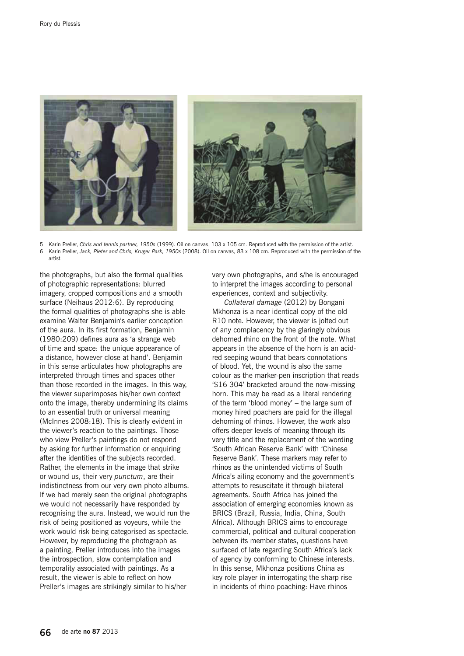

5 Karin Preller, *Chris and tennis partner, 1950s* (1999). Oil on canvas, 103 x 105 cm. Reproduced with the permission of the artist. 6 Karin Preller, *Jack, Pieter and Chris, Kruger Park, 1950s* (2008). Oil on canvas, 83 x 108 cm. Reproduced with the permission of the artist.

the photographs, but also the formal qualities of photographic representations: blurred imagery, cropped compositions and a smooth surface (Neihaus 2012:6). By reproducing the formal qualities of photographs she is able examine Walter Benjamin's earlier conception of the aura. In its first formation, Benjamin (1980:209) defines aura as 'a strange web of time and space: the unique appearance of a distance, however close at hand'. Benjamin in this sense articulates how photographs are interpreted through times and spaces other than those recorded in the images. In this way, the viewer superimposes his/her own context onto the image, thereby undermining its claims to an essential truth or universal meaning (McInnes 2008:18). This is clearly evident in the viewer's reaction to the paintings. Those who view Preller's paintings do not respond by asking for further information or enquiring after the identities of the subjects recorded. Rather, the elements in the image that strike or wound us, their very *punctum*, are their indistinctness from our very own photo albums. If we had merely seen the original photographs we would not necessarily have responded by recognising the aura. Instead, we would run the risk of being positioned as voyeurs, while the work would risk being categorised as spectacle. However, by reproducing the photograph as a painting, Preller introduces into the images the introspection, slow contemplation and temporality associated with paintings. As a result, the viewer is able to reflect on how Preller's images are strikingly similar to his/her

very own photographs, and s/he is encouraged to interpret the images according to personal experiences, context and subjectivity.

*Collateral damage* (2012) by Bongani Mkhonza is a near identical copy of the old R10 note. However, the viewer is jolted out of any complacency by the glaringly obvious dehorned rhino on the front of the note. What appears in the absence of the horn is an acidred seeping wound that bears connotations of blood. Yet, the wound is also the same colour as the marker-pen inscription that reads '\$16 304' bracketed around the now-missing horn. This may be read as a literal rendering of the term 'blood money' – the large sum of money hired poachers are paid for the illegal dehorning of rhinos. However, the work also offers deeper levels of meaning through its very title and the replacement of the wording 'South African Reserve Bank' with 'Chinese Reserve Bank'. These markers may refer to rhinos as the unintended victims of South Africa's ailing economy and the government's attempts to resuscitate it through bilateral agreements. South Africa has joined the association of emerging economies known as BRICS (Brazil, Russia, India, China, South Africa). Although BRICS aims to encourage commercial, political and cultural cooperation between its member states, questions have surfaced of late regarding South Africa's lack of agency by conforming to Chinese interests. In this sense, Mkhonza positions China as key role player in interrogating the sharp rise in incidents of rhino poaching: Have rhinos